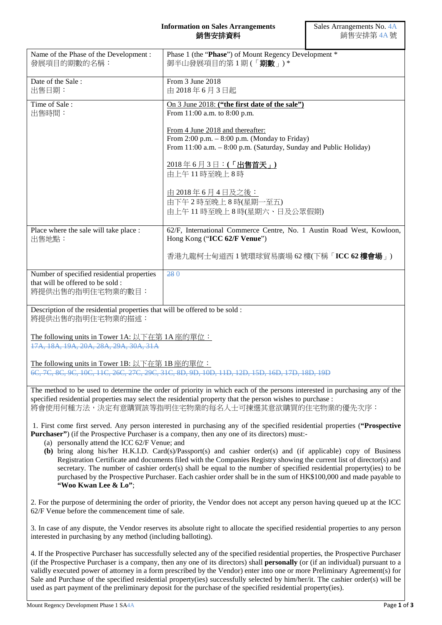## **Information on Sales Arrangements** 銷售安排資料

| Name of the Phase of the Development:<br>發展項目的期數的名稱:                                                                                                                                                                                                                                                                                                                                                                                                                                                                    | Phase 1 (the "Phase") of Mount Regency Development *<br>御半山發展項目的第1期(「期數」)*                                                                                |  |
|-------------------------------------------------------------------------------------------------------------------------------------------------------------------------------------------------------------------------------------------------------------------------------------------------------------------------------------------------------------------------------------------------------------------------------------------------------------------------------------------------------------------------|-----------------------------------------------------------------------------------------------------------------------------------------------------------|--|
| Date of the Sale:<br>出售日期:                                                                                                                                                                                                                                                                                                                                                                                                                                                                                              | From 3 June 2018<br>由 2018年6月3日起                                                                                                                          |  |
| Time of Sale:                                                                                                                                                                                                                                                                                                                                                                                                                                                                                                           | On 3 June 2018: ("the first date of the sale")                                                                                                            |  |
| 出售時間:                                                                                                                                                                                                                                                                                                                                                                                                                                                                                                                   | From 11:00 a.m. to 8:00 p.m.                                                                                                                              |  |
|                                                                                                                                                                                                                                                                                                                                                                                                                                                                                                                         |                                                                                                                                                           |  |
|                                                                                                                                                                                                                                                                                                                                                                                                                                                                                                                         | From 4 June 2018 and thereafter:<br>From $2:00$ p.m. $-8:00$ p.m. (Monday to Friday)<br>From 11:00 a.m. - 8:00 p.m. (Saturday, Sunday and Public Holiday) |  |
|                                                                                                                                                                                                                                                                                                                                                                                                                                                                                                                         | 2018年6月3日:(「出售首天」)<br>由上午11時至晚上8時                                                                                                                         |  |
|                                                                                                                                                                                                                                                                                                                                                                                                                                                                                                                         | 由 2018年6月4日及之後:                                                                                                                                           |  |
|                                                                                                                                                                                                                                                                                                                                                                                                                                                                                                                         | 由下午2時至晚上8時(星期一至五)                                                                                                                                         |  |
|                                                                                                                                                                                                                                                                                                                                                                                                                                                                                                                         |                                                                                                                                                           |  |
|                                                                                                                                                                                                                                                                                                                                                                                                                                                                                                                         | 由上午11時至晚上8時(星期六、日及公眾假期)                                                                                                                                   |  |
| Place where the sale will take place :<br>出售地點:                                                                                                                                                                                                                                                                                                                                                                                                                                                                         | 62/F, International Commerce Centre, No. 1 Austin Road West, Kowloon,<br>Hong Kong ("ICC 62/F Venue")                                                     |  |
|                                                                                                                                                                                                                                                                                                                                                                                                                                                                                                                         | 香港九龍柯士甸道西1號環球貿易廣場 62樓(下稱「ICC 62樓會場」)                                                                                                                      |  |
| Number of specified residential properties<br>that will be offered to be sold :<br>將提供出售的指明住宅物業的數目:                                                                                                                                                                                                                                                                                                                                                                                                                     | 280                                                                                                                                                       |  |
|                                                                                                                                                                                                                                                                                                                                                                                                                                                                                                                         |                                                                                                                                                           |  |
| Description of the residential properties that will be offered to be sold :<br>將提供出售的指明住宅物業的描述:                                                                                                                                                                                                                                                                                                                                                                                                                         |                                                                                                                                                           |  |
|                                                                                                                                                                                                                                                                                                                                                                                                                                                                                                                         |                                                                                                                                                           |  |
| The following units in Tower 1A: 以下在第 1A 座的單位:<br>17A, 18A, 19A, 20A, 28A, 29A, 30A, 31A                                                                                                                                                                                                                                                                                                                                                                                                                                |                                                                                                                                                           |  |
|                                                                                                                                                                                                                                                                                                                                                                                                                                                                                                                         |                                                                                                                                                           |  |
| The following units in Tower 1B: 以下在第 1B 座的單位:                                                                                                                                                                                                                                                                                                                                                                                                                                                                          |                                                                                                                                                           |  |
| 6C, 7C, 8C, 9C, 10C, 11C, 26C, 27C, 29C, 31C, 8D, 9D, 10D, 11D, 12D, 15D, 16D, 17D, 18D, 19D                                                                                                                                                                                                                                                                                                                                                                                                                            |                                                                                                                                                           |  |
| The method to be used to determine the order of priority in which each of the persons interested in purchasing any of the<br>specified residential properties may select the residential property that the person wishes to purchase :<br>將會使用何種方法,決定有意購買該等指明住宅物業的每名人士可揀選其意欲購買的住宅物業的優先次序:                                                                                                                                                                                                                               |                                                                                                                                                           |  |
|                                                                                                                                                                                                                                                                                                                                                                                                                                                                                                                         |                                                                                                                                                           |  |
| 1. First come first served. Any person interested in purchasing any of the specified residential properties ("Prospective<br><b>Purchaser</b> ") (if the Prospective Purchaser is a company, then any one of its directors) must:-<br>(a) personally attend the ICC 62/F Venue; and                                                                                                                                                                                                                                     |                                                                                                                                                           |  |
|                                                                                                                                                                                                                                                                                                                                                                                                                                                                                                                         |                                                                                                                                                           |  |
| (b) bring along his/her H.K.I.D. Card(s)/Passport(s) and cashier order(s) and (if applicable) copy of Business                                                                                                                                                                                                                                                                                                                                                                                                          |                                                                                                                                                           |  |
| Registration Certificate and documents filed with the Companies Registry showing the current list of director(s) and<br>secretary. The number of cashier order(s) shall be equal to the number of specified residential property(ies) to be                                                                                                                                                                                                                                                                             |                                                                                                                                                           |  |
|                                                                                                                                                                                                                                                                                                                                                                                                                                                                                                                         | purchased by the Prospective Purchaser. Each cashier order shall be in the sum of HK\$100,000 and made payable to                                         |  |
| "Woo Kwan Lee & Lo";                                                                                                                                                                                                                                                                                                                                                                                                                                                                                                    |                                                                                                                                                           |  |
| 2. For the purpose of determining the order of priority, the Vendor does not accept any person having queued up at the ICC<br>62/F Venue before the commencement time of sale.                                                                                                                                                                                                                                                                                                                                          |                                                                                                                                                           |  |
| 3. In case of any dispute, the Vendor reserves its absolute right to allocate the specified residential properties to any person<br>interested in purchasing by any method (including balloting).                                                                                                                                                                                                                                                                                                                       |                                                                                                                                                           |  |
| 4. If the Prospective Purchaser has successfully selected any of the specified residential properties, the Prospective Purchaser                                                                                                                                                                                                                                                                                                                                                                                        |                                                                                                                                                           |  |
| (if the Prospective Purchaser is a company, then any one of its directors) shall <b>personally</b> (or (if an individual) pursuant to a<br>validly executed power of attorney in a form prescribed by the Vendor) enter into one or more Preliminary Agreement(s) for<br>Sale and Purchase of the specified residential property(ies) successfully selected by him/her/it. The cashier order(s) will be<br>used as part payment of the preliminary deposit for the purchase of the specified residential property(ies). |                                                                                                                                                           |  |
|                                                                                                                                                                                                                                                                                                                                                                                                                                                                                                                         |                                                                                                                                                           |  |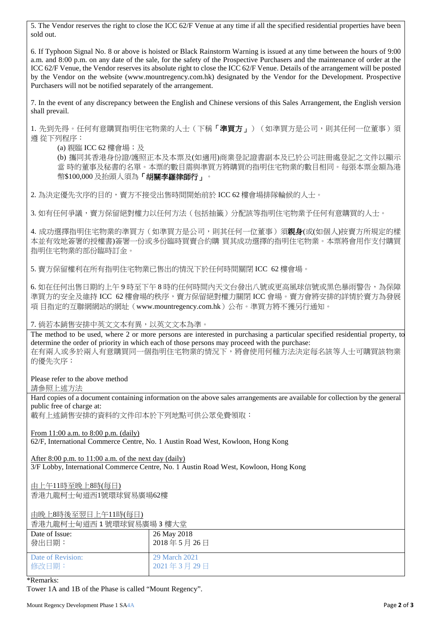5. The Vendor reserves the right to close the ICC 62/F Venue at any time if all the specified residential properties have been sold out.

6. If Typhoon Signal No. 8 or above is hoisted or Black Rainstorm Warning is issued at any time between the hours of 9:00 a.m. and 8:00 p.m. on any date of the sale, for the safety of the Prospective Purchasers and the maintenance of order at the ICC 62/F Venue, the Vendor reserves its absolute right to close the ICC 62/F Venue. Details of the arrangement will be posted by the Vendor on the website (www.mountregency.com.hk) designated by the Vendor for the Development. Prospective Purchasers will not be notified separately of the arrangement.

7. In the event of any discrepancy between the English and Chinese versions of this Sales Arrangement, the English version shall prevail.

1. 先到先得。任何有意購買指明住宅物業的人士(下稱「**準買方」**)(如準買方是公司,則其任何一位董事)須 遵 從下列程序:

(a) 親臨 ICC 62 樓會場; 及

(b) 攜同其香港身份證/護照正本及本票及(如適用)商業登記證書副本及已於公司註冊處登記之文件以顯示 當 時的董事及秘書的名單。本票的數目需與準買方將購買的指明住宅物業的數目相同。每張本票金額為港 幣\$100,000 及抬頭人須為「胡關李羅律師行」。

2. 為決定優先次序的目的,賣方不接受出售時間開始前於 ICC 62 樓會場排隊輪候的人士。

3. 如有任何爭議,賣方保留絕對權力以任何方法(包括抽籤)分配該等指明住宅物業予任何有意購買的人士。

4. 成功選擇指明住宅物業的準買方(如準買方是公司,則其任何一位董事)須**親身**(或(如個人)按賣方所規定的樣 本並有效地簽署的授權書)簽署一份或多份臨時買賣合約購 買其成功選擇的指明住宅物業。本票將會用作支付購買 指明住宅物業的部份臨時訂金。

5. 賣方保留權利在所有指明住宅物業已售出的情況下於任何時間關閉 ICC 62 樓會場。

6. 如在任何出售日期的上午 9 時至下午 8 時的任何時間內天文台發出八號或更高風球信號或黑色暴雨警告,為保障 準買方的安全及維持 ICC 62 樓會場的秩序,賣方保留絕對權力關閉 ICC 會場。賣方會將安排的詳情於賣方為發展 項 目指定的互聯網網站的網址(www.mountregency.com.hk)公布。準買方將不獲另行通知。

7. 倘若本銷售安排中英文文本有異,以英文文本為準。

The method to be used, where 2 or more persons are interested in purchasing a particular specified residential property, to determine the order of priority in which each of those persons may proceed with the purchase: 在有兩人或多於兩人有意購買同一個指明住宅物業的情況下,將會使用何種方法決定每名該等人士可購買該物業 的優先次序:

Please refer to the above method

請參照上述方法

Hard copies of a document containing information on the above sales arrangements are available for collection by the general public free of charge at:

載有上述銷售安排的資料的文件印本於下列地點可供公眾免費領取:

From 11:00 a.m. to 8:00 p.m. (daily)

62/F, International Commerce Centre, No. 1 Austin Road West, Kowloon, Hong Kong

After 8:00 p.m. to  $11:00$  a.m. of the next day (daily) 3/F Lobby, International Commerce Centre, No. 1 Austin Road West, Kowloon, Hong Kong

由上午11時至晚上8時(每日) 香港九龍柯士甸道西1號環球貿易廣場62樓

由晚上8時後至翌日上午11時(每日)

香港九龍柯士甸道西 1 號環球貿易廣場 3 樓大堂

| 日/日/明日 丁二 鬥 眉 曰 = 沥 な 小 只 勿 夙 物 > ほ / ヽ 工 |               |
|-------------------------------------------|---------------|
| Date of Issue:                            | 26 May 2018   |
| 發出日期:                                     | 2018年5月26日    |
| Date of Revision:                         | 29 March 2021 |
| 修改日期:                                     | 2021年3月29日    |

## \*Remarks:

Tower 1A and 1B of the Phase is called "Mount Regency".